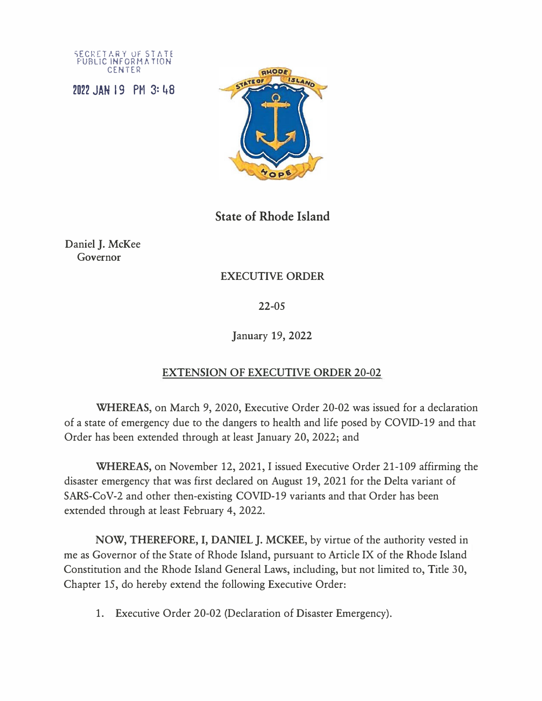SECRETARY OF STATE FUBLIC INFORMATION CENTER

2022 JAN 19 PM 3: �8



**State of Rhode Island** 

Daniel J. McKee Governor

## EXECUTIVE ORDER

22-05

January 19, 2022

## EXTENSION OF EXECUTIVE ORDER 20-02

**WHEREAS,** on March 9, 2020, Executive Order 20-02 was issued for a declaration of a state of emergency due to the dangers to health and life posed by COVID-19 and that Order has been extended through at least January 20, 2022; and

**WHEREAS,** on November 12, 2021, I issued Executive Order 21-109 affirming the disaster emergency that was first declared on August 19, 2021 for the Delta variant of SARS-CoV-2 and other then-existing COVID-19 variants and that Order has been extended through at least February 4, 2022.

**NOW, THEREFORE,** I, **DANIEL J. MCKEE,** by virtue of the authority vested in me as Governor of the State of Rhode Island, pursuant to Article IX of the Rhode Island Constitution and the Rhode Island General Laws, including, but not limited to, Title 30, Chapter 15, do hereby extend the following Executive Order:

1. Executive Order 20-02 (Declaration of Disaster Emergency).